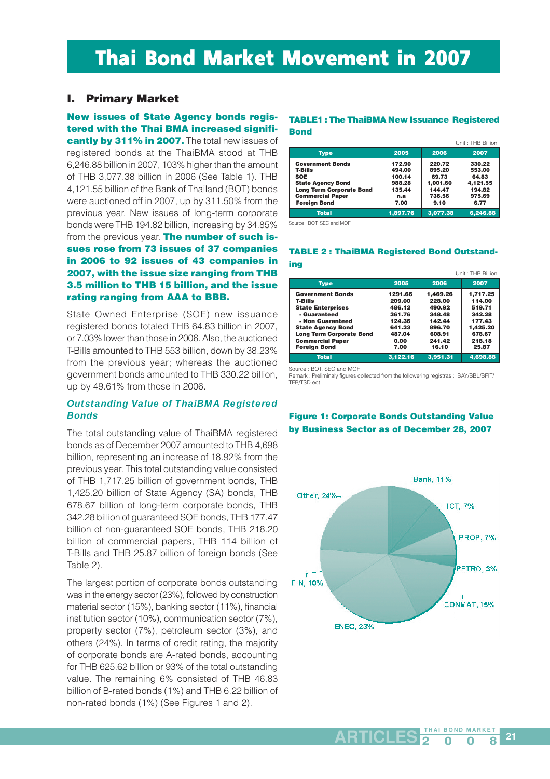# Thai Bond Market Movement in 2007

### **I. Primary Market**

**New issues of State Agency bonds registered with the Thai BMA increased significantly by 311% in 2007.** The total new issues of registered bonds at the ThaiBMA stood at THB 6,246.88 billion in 2007, 103% higher than the amount of THB 3,077.38 billion in 2006 (See Table 1). THB 4,121.55 billion of the Bank of Thailand (BOT) bonds were auctioned off in 2007, up by 311.50% from the previous year. New issues of long-term corporate bonds were THB 194.82 billion, increasing by 34.85% from the previous year. **The number of such issues rose from 73 issues of 37 companies in 2006 to 92 issues of 43 companies in 2007, with the issue size ranging from THB 3.5 million to THB 15 billion, and the issue rating ranging from AAA to BBB.**

State Owned Enterprise (SOE) new issuance registered bonds totaled THB 64.83 billion in 2007, or 7.03% lower than those in 2006. Also, the auctioned T-Bills amounted to THB 553 billion, down by 38.23% from the previous year; whereas the auctioned government bonds amounted to THB 330.22 billion, up by 49.61% from those in 2006.

### *Outstanding Value of ThaiBMA Registered Bonds*

The total outstanding value of ThaiBMA registered bonds as of December 2007 amounted to THB 4,698 billion, representing an increase of 18.92% from the previous year. This total outstanding value consisted of THB 1,717.25 billion of government bonds, THB 1,425.20 billion of State Agency (SA) bonds, THB 678.67 billion of long-term corporate bonds, THB 342.28 billion of guaranteed SOE bonds, THB 177.47 billion of non-guaranteed SOE bonds, THB 218.20 billion of commercial papers, THB 114 billion of T-Bills and THB 25.87 billion of foreign bonds (See Table 2).

The largest portion of corporate bonds outstanding was in the energy sector (23%), followed by construction material sector (15%), banking sector (11%), financial institution sector (10%), communication sector (7%), property sector (7%), petroleum sector (3%), and others (24%). In terms of credit rating, the majority of corporate bonds are A-rated bonds, accounting for THB 625.62 billion or 93% of the total outstanding value. The remaining 6% consisted of THB 46.83 billion of B-rated bonds (1%) and THB 6.22 billion of non-rated bonds (1%) (See Figures 1 and 2).

### **TABLE1 : The ThaiBMA New Issuance Registered Bond**

|                                                                                                                                                                          |                                                               |                                                                   | Unit: THB Billion                                                 |
|--------------------------------------------------------------------------------------------------------------------------------------------------------------------------|---------------------------------------------------------------|-------------------------------------------------------------------|-------------------------------------------------------------------|
| <b>Type</b>                                                                                                                                                              | 2005                                                          | 2006                                                              | 2007                                                              |
| <b>Government Bonds</b><br><b>T-Bills</b><br><b>SOE</b><br><b>State Agency Bond</b><br><b>Long Term Corporate Bond</b><br><b>Commercial Paper</b><br><b>Foreign Bond</b> | 172.90<br>494.00<br>100.14<br>988.28<br>135.44<br>n.a<br>7.00 | 220.72<br>895.20<br>69.73<br>1.001.60<br>144.47<br>736.56<br>9.10 | 330.22<br>553.00<br>64.83<br>4,121.55<br>194.82<br>975.69<br>6.77 |
| <b>Total</b>                                                                                                                                                             | 1.897.76                                                      | 3.077.38                                                          | 6.246.88                                                          |

Source : BOT, SEC and MOF

### **TABLE 2 : ThaiBMA Registered Bond Outstanding**

|                                                                                                                                                                                                                            |                                                                                     |                                                                                         | Unit: THB Billion                                                                         |
|----------------------------------------------------------------------------------------------------------------------------------------------------------------------------------------------------------------------------|-------------------------------------------------------------------------------------|-----------------------------------------------------------------------------------------|-------------------------------------------------------------------------------------------|
| <b>Type</b>                                                                                                                                                                                                                | 2005                                                                                | 2006                                                                                    | 2007                                                                                      |
| <b>Government Bonds</b><br><b>T-Bills</b><br><b>State Enterprises</b><br>- Guaranteed<br>- Non Guaranteed<br><b>State Agency Bond</b><br><b>Long Term Corporate Bond</b><br><b>Commercial Paper</b><br><b>Foreian Bond</b> | 1291.66<br>209.00<br>486.12<br>361.76<br>124.36<br>641.33<br>487.04<br>0.00<br>7.00 | 1.469.26<br>228.00<br>490.92<br>348.48<br>142.44<br>896.70<br>608.91<br>241.42<br>16.10 | 1.717.25<br>114.00<br>519.71<br>342.28<br>177.43<br>1.425.20<br>678.67<br>218.18<br>25.87 |
| <b>Total</b>                                                                                                                                                                                                               | 3,122.16                                                                            | 3.951.31                                                                                | 4,698.88                                                                                  |

Source : BOT, SEC and MOF

Remark : Preliminaly figures collected from the followering registras : BAY/BBL/BFIT/ TFB/TSD ect.

### **Figure 1: Corporate Bonds Outstanding Value by Business Sector as of December 28, 2007**

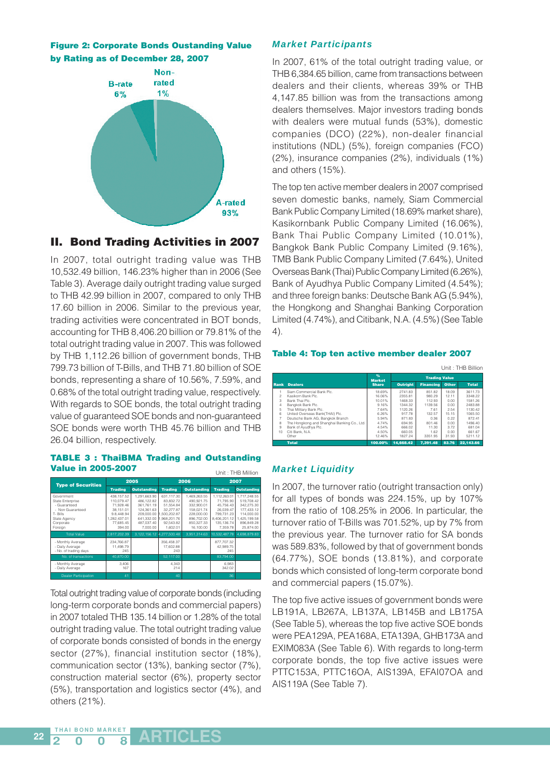



### **II. Bond Trading Activities in 2007**

In 2007, total outright trading value was THB 10,532.49 billion, 146.23% higher than in 2006 (See Table 3). Average daily outright trading value surged to THB 42.99 billion in 2007, compared to only THB 17.60 billion in 2006. Similar to the previous year, trading activities were concentrated in BOT bonds, accounting for THB 8,406.20 billion or 79.81% of the total outright trading value in 2007. This was followed by THB 1,112.26 billion of government bonds, THB 799.73 billion of T-Bills, and THB 71.80 billion of SOE bonds, representing a share of 10.56%, 7.59%, and 0.68% of the total outright trading value, respectively. With regards to SOE bonds, the total outright trading value of guaranteed SOE bonds and non-guaranteed SOE bonds were worth THB 45.76 billion and THB 26.04 billion, respectively.

#### **TABLE 3 : ThaiBMA Trading and Outstanding Value in 2005-2007** Unit : THB Million

| ULIIL . LEID IVIIIIULI                                                                                                 |                                                                                                         |                                                                                                              |                                                                                                            |                                                                                                               |                                                                                                             |                                                                                                                 |  |  |
|------------------------------------------------------------------------------------------------------------------------|---------------------------------------------------------------------------------------------------------|--------------------------------------------------------------------------------------------------------------|------------------------------------------------------------------------------------------------------------|---------------------------------------------------------------------------------------------------------------|-------------------------------------------------------------------------------------------------------------|-----------------------------------------------------------------------------------------------------------------|--|--|
| <b>Type of Securities</b>                                                                                              |                                                                                                         | 2005                                                                                                         |                                                                                                            | 2006<br>2007                                                                                                  |                                                                                                             |                                                                                                                 |  |  |
|                                                                                                                        | <b>Trading</b>                                                                                          | <b>Outstanding</b>                                                                                           | <b>Trading</b>                                                                                             | <b>Outstanding</b>                                                                                            | <b>Trading</b>                                                                                              | <b>Outstanding</b>                                                                                              |  |  |
| Government<br>State Enterprise<br>- Guaranteed<br>- Non Guaranteed<br>T- Bills<br>State Agency<br>Corporate<br>Foreian | 438.157.52<br>110.079.47<br>71.928.46<br>38.151.01<br>9.8.448.94<br>1.282.437.01<br>77.685.45<br>394.00 | 1.291.663.90<br>486.122.82<br>361.761.19<br>124.361.63<br>209.000.00<br>641.332.00<br>487.037.40<br>7.000.00 | 631.117.30<br>83.832.72<br>51.554.84<br>32.277.87<br>1.500.202.87<br>1.968.201.76<br>92.543.82<br>1.602.01 | 1.469.263.55<br>490.921.75<br>332.900.01<br>158.021.74<br>228,000.00<br>896.702.00<br>850.327.33<br>16.100.00 | 1.112.263.01<br>71,795.90<br>45.756.43<br>26.039.47<br>799.731.23<br>8,406,201.12<br>135.136.74<br>7.359.78 | 1.717.248.55<br>519.708.42<br>342.275.30<br>177.433.12<br>114.000.00<br>1,425,199.58<br>896.849.28<br>25.874.00 |  |  |
| <b>Total Value</b>                                                                                                     | 2.817.202.39                                                                                            | 3.122.156.12                                                                                                 | 4.277.500.48                                                                                               | 3.951.314.63                                                                                                  | 10.532.487.78                                                                                               | 4.698.879.83                                                                                                    |  |  |
| - Monthly Average<br>- Daily Average<br>- No. of trading days                                                          | 234.766.87<br>11.498.79<br>245                                                                          |                                                                                                              | 356.458.37<br>17.602.88<br>243                                                                             |                                                                                                               | 877.707.32<br>42.989.75<br>245                                                                              |                                                                                                                 |  |  |
| No. of transactions                                                                                                    | 40.870.00                                                                                               |                                                                                                              | 52.117.00                                                                                                  |                                                                                                               | 83.794.00                                                                                                   |                                                                                                                 |  |  |
| - Monthly Average<br>- Daily Average                                                                                   | 3.406<br>167                                                                                            |                                                                                                              | 4.343<br>214                                                                                               |                                                                                                               | 6.983<br>342.02                                                                                             |                                                                                                                 |  |  |
| <b>Dealer Participation</b>                                                                                            | 41                                                                                                      |                                                                                                              | 40                                                                                                         |                                                                                                               | 36                                                                                                          |                                                                                                                 |  |  |

Total outright trading value of corporate bonds (including long-term corporate bonds and commercial papers) in 2007 totaled THB 135.14 billion or 1.28% of the total outright trading value. The total outright trading value of corporate bonds consisted of bonds in the energy sector (27%), financial institution sector (18%), communication sector (13%), banking sector (7%), construction material sector (6%), property sector (5%), transportation and logistics sector (4%), and others (21%).

### *Market Participants*

In 2007, 61% of the total outright trading value, or THB 6,384.65 billion, came from transactions between dealers and their clients, whereas 39% or THB 4,147.85 billion was from the transactions among dealers themselves. Major investors trading bonds with dealers were mutual funds (53%), domestic companies (DCO) (22%), non-dealer financial institutions (NDL) (5%), foreign companies (FCO) (2%), insurance companies (2%), individuals (1%) and others (15%).

The top ten active member dealers in 2007 comprised seven domestic banks, namely, Siam Commercial Bank Public Company Limited (18.69% market share), Kasikornbank Public Company Limited (16.06%), Bank Thai Public Company Limited (10.01%), Bangkok Bank Public Company Limited (9.16%), TMB Bank Public Company Limited (7.64%), United Overseas Bank (Thai) Public Company Limited (6.26%), Bank of Ayudhya Public Company Limited (4.54%); and three foreign banks: Deutsche Bank AG (5.94%), the Hongkong and Shanghai Banking Corporation Limited (4.74%), and Citibank, N.A. (4.5%) (See Table 4).

### **Table 4: Top ten active member dealer 2007**

|                |                                             |                    |                 |                      |       | Unit: THB Billion |
|----------------|---------------------------------------------|--------------------|-----------------|----------------------|-------|-------------------|
|                |                                             | %<br><b>Market</b> |                 | <b>Trading Value</b> |       |                   |
| Rank           | <b>Dealers</b>                              | <b>Share</b>       | <b>Outright</b> | <b>Financing</b>     | Other | <b>Total</b>      |
|                | Siam Commercial Bank Plc.                   | 18.69%             | 274183          | 851.82               | 18.09 | 3611.73           |
| 2              | Kasikom Bank Plc.                           | 16.06%             | 2355 81         | 980.29               | 12 11 | 3348.22           |
| 3              | Bank Thai Plc.                              | 10.01%             | 1468.33         | 112.93               | 0.00  | 1581.26           |
| $\overline{A}$ | Bangkok Bank Plc.                           | 9.16%              | 1344.32         | 1139.56              | 0.00  | 2483.88           |
| 5              | Thai Military Bank Plc.                     | 7.64%              | 1120.26         | 7.61                 | 2.54  | 1130.42           |
| 6              | United Overseas Bank(THAI) Plc.             | 6.26%              | 91778           | 132.57               | 15 15 | 1065.50           |
|                | Deutsche Bank AG. Bangkok Branch            | 5.94%              | 871.83          | 0.36                 | 0.22  | 872.41            |
| 8              | The Hongkong and Shanghai Banking Co., Ltd. | 4.74%              | 694.95          | 801.46               | 0.00  | 1496.40           |
| 9              | Bank of Avudhva Plc.                        | 4.54%              | 666.02          | 11.30                | 3.72  | 681.04            |
| 10             | Citi Bank, N.A.                             | 4.50%              | 660.05          | 1.62                 | 0.00  | 661.67            |
|                | Other                                       | 12.46%             | 1827.24         | 3351.95              | 31.93 | 5211.12           |
|                | <b>Total</b>                                | 100.00%            | 14.668.42       | 7.391.48             | 83.76 | 22.143.66         |

### *Market Liquidity*

In 2007, the turnover ratio (outright transaction only) for all types of bonds was 224.15%, up by 107% from the ratio of 108.25% in 2006. In particular, the turnover ratio of T-Bills was 701.52%, up by 7% from the previous year. The turnover ratio for SA bonds was 589.83%, followed by that of government bonds (64.77%), SOE bonds (13.81%), and corporate bonds which consisted of long-term corporate bond and commercial papers (15.07%).

The top five active issues of government bonds were LB191A, LB267A, LB137A, LB145B and LB175A (See Table 5), whereas the top five active SOE bonds were PEA129A, PEA168A, ETA139A, GHB173A and EXIM083A (See Table 6). With regards to long-term corporate bonds, the top five active issues were PTTC153A, PTTC16OA, AIS139A, EFAI07OA and AIS119A (See Table 7).

**22**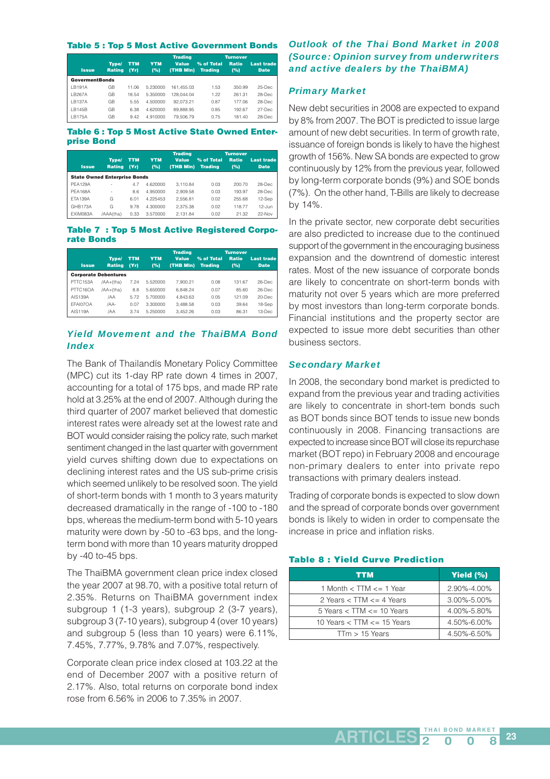### **Table 5 : Top 5 Most Active Government Bonds**

|                       |                        |                    |                   | <b>Trading</b>            |                              | <b>Turnover</b>     |                                  |
|-----------------------|------------------------|--------------------|-------------------|---------------------------|------------------------------|---------------------|----------------------------------|
| <b>Issue</b>          | Type/<br><b>Rating</b> | <b>TTM</b><br>(Yr) | <b>YTM</b><br>(%) | <b>Value</b><br>(THB MIn) | % of Total<br><b>Trading</b> | <b>Ratio</b><br>(%) | <b>Last trade</b><br><b>Date</b> |
| <b>GovermentBonds</b> |                        |                    |                   |                           |                              |                     |                                  |
| I B191A               | GΒ                     | 11.06              | 5.230000          | 161.455.03                | 1.53                         | 350.99              | $25$ -Dec                        |
| IB267A                | GΒ                     | 18.54              | 5.350000          | 128.044.04                | 1.22                         | 261.31              | 28-Dec                           |
| I B137A               | GB                     | 5.55               | 4.500000          | 92.073.21                 | 0.87                         | 177.06              | 28-Dec                           |
| IB145B                | GB                     | 6.38               | 4.620000          | 89.888.95                 | 0.85                         | 192.67              | 27-Dec                           |
| I B175A               | GΒ                     | 9.42               | 4.910000          | 79.506.79                 | 0.75                         | 181.40              | 28-Dec                           |

### **Table 6 : Top 5 Most Active State Owned Enterprise Bond**

|                                     |                        |                    |                   | <b>Trading</b>            |                              | <b>Turnover</b>     |                                  |
|-------------------------------------|------------------------|--------------------|-------------------|---------------------------|------------------------------|---------------------|----------------------------------|
| <b>Issue</b>                        | Type/<br><b>Rating</b> | <b>TTM</b><br>(Yr) | <b>YTM</b><br>(%) | <b>Value</b><br>(THB MIn) | % of Total<br><b>Trading</b> | <b>Ratio</b><br>(%) | <b>Last trade</b><br><b>Date</b> |
| <b>State Owned Enterprise Bonds</b> |                        |                    |                   |                           |                              |                     |                                  |
| <b>PFA129A</b>                      |                        | 4.7                | 4.620000          | 3.110.84                  | 0.03                         | 200.70              | 28-Dec                           |
| <b>PFA168A</b>                      | ٠                      | 8.6                | 4.950000          | 2.909.58                  | 0.03                         | 193.97              | 28-Dec                           |
| FTA139A                             | G                      | 6.01               | 4.225453          | 2.556.81                  | 0.02                         | 255.68              | 12-Sep                           |
| <b>GHB173A</b>                      | G                      | 9.78               | 4.300000          | 2.375.38                  | 0.02                         | 118.77              | $12 - \lim$                      |
| FXIM083A                            | /AAA(tha)              | 0.33               | 3.570000          | 2.131.84                  | 0.02                         | 21.32               | 22-Nov                           |

### **Table 7 : Top 5 Most Active Registered Corporate Bonds**

|              |                             |            |            | <b>Trading</b> |                | <b>Turnover</b> |                   |
|--------------|-----------------------------|------------|------------|----------------|----------------|-----------------|-------------------|
|              | Type/                       | <b>TTM</b> | <b>YTM</b> | <b>Value</b>   | % of Total     | <b>Ratio</b>    | <b>Last trade</b> |
| <b>Issue</b> | <b>Rating</b>               | (Yr)       | (%)        | (THB MIn)      | <b>Trading</b> | (%)             | <b>Date</b>       |
|              | <b>Corporate Debentures</b> |            |            |                |                |                 |                   |
| PTTC153A     | /AA+(tha)                   | 7.24       | 5.520000   | 7.900.21       | 0.08           | 131.67          | $26$ -Dec         |
| PTTC16OA     | /AA+(tha)                   | 8.8        | 5.650000   | 6.848.24       | 0.07           | 85.60           | $26$ -Dec         |
| AIS139A      | IAA                         | 5.72       | 5.700000   | 4.843.63       | 0.05           | 121.09          | $20 - Dec$        |
| FFAI070A     | /AA-                        | 0.07       | 3.300000   | 3.488.58       | 0.03           | 39.64           | 18-Sep            |
| AIS119A      | IAA                         | 3.74       | 5.250000   | 3.452.26       | 0.03           | 86.31           | 13-Dec            |

### *Yield Movement and the ThaiBMA Bond Index*

The Bank of Thailandís Monetary Policy Committee (MPC) cut its 1-day RP rate down 4 times in 2007, accounting for a total of 175 bps, and made RP rate hold at 3.25% at the end of 2007. Although during the third quarter of 2007 market believed that domestic interest rates were already set at the lowest rate and BOT would consider raising the policy rate, such market sentiment changed in the last quarter with government yield curves shifting down due to expectations on declining interest rates and the US sub-prime crisis which seemed unlikely to be resolved soon. The yield of short-term bonds with 1 month to 3 years maturity decreased dramatically in the range of -100 to -180 bps, whereas the medium-term bond with 5-10 years maturity were down by -50 to -63 bps, and the longterm bond with more than 10 years maturity dropped by -40 to-45 bps.

The ThaiBMA government clean price index closed the year 2007 at 98.70, with a positive total return of 2.35%. Returns on ThaiBMA government index subgroup 1 (1-3 years), subgroup 2 (3-7 years), subgroup 3 (7-10 years), subgroup 4 (over 10 years) and subgroup 5 (less than 10 years) were 6.11%, 7.45%, 7.77%, 9.78% and 7.07%, respectively.

Corporate clean price index closed at 103.22 at the end of December 2007 with a positive return of 2.17%. Also, total returns on corporate bond index rose from 6.56% in 2006 to 7.35% in 2007.

### *Outlook of the Thai Bond Market in 2008 (Source: Opinion survey from underwriters and active dealers by the ThaiBMA)*

### *Primary Market*

New debt securities in 2008 are expected to expand by 8% from 2007. The BOT is predicted to issue large amount of new debt securities. In term of growth rate, issuance of foreign bonds is likely to have the highest growth of 156%. New SA bonds are expected to grow continuously by 12% from the previous year, followed by long-term corporate bonds (9%) and SOE bonds (7%). On the other hand, T-Bills are likely to decrease by 14%.

In the private sector, new corporate debt securities are also predicted to increase due to the continued support of the government in the encouraging business expansion and the downtrend of domestic interest rates. Most of the new issuance of corporate bonds are likely to concentrate on short-term bonds with maturity not over 5 years which are more preferred by most investors than long-term corporate bonds. Financial institutions and the property sector are expected to issue more debt securities than other business sectors.

### *Secondary Market*

In 2008, the secondary bond market is predicted to expand from the previous year and trading activities are likely to concentrate in short-tem bonds such as BOT bonds since BOT tends to issue new bonds continuously in 2008. Financing transactions are expected to increase since BOT will close its repurchase market (BOT repo) in February 2008 and encourage non-primary dealers to enter into private repo transactions with primary dealers instead.

Trading of corporate bonds is expected to slow down and the spread of corporate bonds over government bonds is likely to widen in order to compensate the increase in price and inflation risks.

### **Table 8 : Yield Curve Prediction**

| <b>TTM</b>                     | Yield (%)   |
|--------------------------------|-------------|
| 1 Month $<$ TTM $<=$ 1 Year    | 2.90%-4.00% |
| 2 Years $<$ TTM $<=$ 4 Years   | 3.00%-5.00% |
| 5 Years $<$ TTM $<=$ 10 Years  | 4.00%-5.80% |
| 10 Years $<$ TTM $<=$ 15 Years | 4.50%-6.00% |
| $TTm > 15$ Years               | 4.50%-6.50% |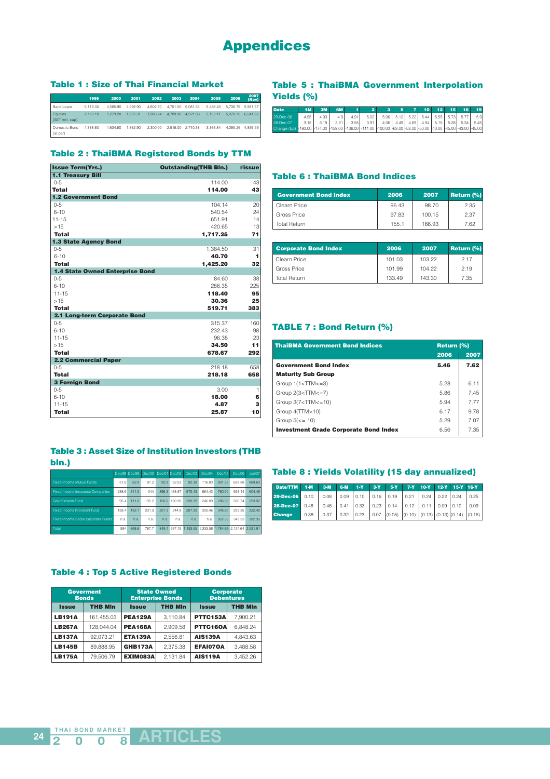## **Appendices**

### **Table 1 : Size of Thai Financial Market**

|                            | 1999     | 2000     | 2001     | 2002     | 2003     | 2004              | 2005     | 2006     | 2007<br>(Nov)     |
|----------------------------|----------|----------|----------|----------|----------|-------------------|----------|----------|-------------------|
| Bank Loans                 | 5.119.00 | 4.585.90 | 4.298.90 | 4.602.70 |          | 4.701.50 5.081.35 | 5.488.43 |          | 5.706.75 5.931.57 |
| Equities<br>(SET mkt. cap) | 2.193.10 | 1.279.20 | 1.607.31 | 1.986.24 | 4.789.90 | 4.521.89          | 5.105.11 | 5.078.70 | 6.541.66          |
| Domestic Bond<br>(at par)  | 1.388.60 | 1.634.80 | 1.882.90 | 2,300.00 |          | 2.518.00 2.740.38 | 3.366.84 | 4.085.26 | 4.836.59          |

### **Table 2 : ThaiBMA Registered Bonds by TTM**

| <b>Issue Term(Yrs.)</b>                | <b>Outstanding(THB Bln.)</b> | #issue |
|----------------------------------------|------------------------------|--------|
| <b>1.1 Treasury Bill</b>               |                              |        |
| $0 - 5$                                | 114.00                       | 43     |
| Total                                  | 114.00                       | 43     |
| <b>1.2 Government Bond</b>             |                              |        |
| $0 - 5$                                | 104.14                       | 20     |
| $6 - 10$                               | 540.54                       | 24     |
| $11 - 15$                              | 651.91                       | 14     |
| >15                                    | 420.65                       | 13     |
| <b>Total</b>                           | 1,717.25                     | 71     |
| <b>1.3 State Agency Bond</b>           |                              |        |
| $0 - 5$                                | 1,384.50                     | 31     |
| $6 - 10$                               | 40.70                        | 1      |
| <b>Total</b>                           | 1.425.20                     | 32     |
| <b>1.4 State Owned Enterprise Bond</b> |                              |        |
| $0 - 5$                                | 84.60                        | 38     |
| $6 - 10$                               | 286.35                       | 225    |
| $11 - 15$                              | 118.40                       | 95     |
| >15                                    | 30.36                        | 25     |
| <b>Total</b>                           | 519.71                       | 383    |
| 2.1 Long-term Corporate Bond           |                              |        |
| $0 - 5$                                | 315.37                       | 160    |
| $6 - 10$                               | 232.43                       | 98     |
| $11 - 15$                              | 96.38                        | 23     |
| >15                                    | 34.50                        | 11     |
| <b>Total</b>                           | 678.67                       | 292    |
| <b>2.2 Commercial Paper</b>            |                              |        |
| $0 - 5$                                | 218.18                       | 658    |
| <b>Total</b>                           | 218.18                       | 658    |
| <b>3 Foreign Bond</b>                  |                              |        |
| $0 - 5$                                | 3.00                         | 1      |
| $6 - 10$                               | 18.00                        | 6      |
| $11 - 15$                              | 4.87                         | з      |
| <b>Total</b>                           | 25.87                        | 10     |

### **Table 3 : Asset Size of Institution Investors (THB bln.)**

|                                      |       |       | Dec/98 Dec/99 Dec/00 Dec/01 Dec/02 |       |              | Dec/03 | Dec/04 | Dec/05 | Dec/06                                              | Jun/07 |
|--------------------------------------|-------|-------|------------------------------------|-------|--------------|--------|--------|--------|-----------------------------------------------------|--------|
| Fixed-Income Mutual Funds            | 51.6  | 62.8  | 872                                | 929   | 92.53        | 92.39  | 116.80 | 391.32 | 639.88                                              | 869.63 |
| Fixed Income Insurance Companies     | 288.6 | 311.5 | 344                                |       | 396.3 468.87 | 57543  | 664 43 | 760.50 | 563 14                                              | 604 48 |
| <b>Govt Pension Fund</b>             | 954   | 1116  | 135.2                              | 158.6 | 190 95       | 238.39 | 246.89 | 286.98 | 32074                                               | 353.02 |
| <b>Fixed Income Provident Fund</b>   | 158.4 | 1827  | 2013                               | 2013  | 2448         | 287.33 | 305 46 | 345.90 | 255.35                                              | 322.42 |
| Fixed-Income Social Securities Funds | n.a.  | n.a.  | n.a.                               | n.a.  | n.a.         | n.a.   | n.a.   | 262.33 | 345.53                                              | 382.35 |
| Total                                | 594   | 668.6 | 767.7                              | 849.1 |              |        |        |        | 997.15 1.193.55 1.333.58 1.784.69 2.124.64 2.531.91 |        |

### **Table 4 : Top 5 Active Registered Bonds**

| <b>Goverment</b><br><b>Bonds</b> |                |                                | <b>State Owned</b><br><b>Enterprise Bonds</b> | <b>Corporate</b><br><b>Debentures</b> | <b>THB MIn</b><br>7.900.21<br>6.848.24 |  |  |
|----------------------------------|----------------|--------------------------------|-----------------------------------------------|---------------------------------------|----------------------------------------|--|--|
| <b>Issue</b>                     | <b>THB MIn</b> | <b>THB MIn</b><br><b>Issue</b> |                                               | <b>Issue</b>                          |                                        |  |  |
| <b>LB191A</b>                    | 161.455.03     | <b>PEA129A</b>                 | 3.110.84                                      | PTTC153A                              |                                        |  |  |
| <b>LB267A</b>                    | 128.044.04     | <b>PEA168A</b>                 | 2.909.58                                      | PTTC16OA                              |                                        |  |  |
| <b>LB137A</b>                    | 92.073.21      | <b>ETA139A</b>                 | 2.556.81                                      | <b>AIS139A</b>                        | 4.843.63                               |  |  |
| <b>LB145B</b>                    | 89.888.95      | <b>GHB173A</b>                 | 2.375.38                                      | <b>EFAI070A</b>                       | 3.488.58                               |  |  |
| <b>LB175A</b>                    | 79.506.79      | EXIM083A                       | 2.131.84                                      | <b>AIS119A</b>                        | 3.452.26                               |  |  |

### **Table 5 : ThaiBMA Government Interpolation Yields (%)**

| <b>Date</b>                                                                                                    |      | 3M   | <b>6M</b> |      | 2    |                                    | 10 <sup>1</sup> | 12 | तडा | 16 <sup>1</sup> | 19   |
|----------------------------------------------------------------------------------------------------------------|------|------|-----------|------|------|------------------------------------|-----------------|----|-----|-----------------|------|
| 29-Dec-06                                                                                                      | 4.95 | 4.93 | 4.9       | 4.91 | 5.02 | 5.06 5.12 5.22 5.44 5.55 5.73 5.77 |                 |    |     |                 | 5.9  |
| 28-Dec-07                                                                                                      | 3.15 | 3.19 | 3.31      | 3.55 | 3.91 | 4.06 4.49 4.69 4.94 5.15 5.28 5.34 |                 |    |     |                 | 5.45 |
| Change (bp) -180.00 -174.00 -159.00 -136.00 -111.00 -100.00 -63.00 -53.00 -50.00 -40.00 -45.00 -43.00 -45.00 - |      |      |           |      |      |                                    |                 |    |     |                 |      |

### **Table 6 : ThaiBMA Bond Indices**

| <b>Government Bond Index</b> | 2006  | 2007   | Return (%) |
|------------------------------|-------|--------|------------|
| Clearn Price                 | 96.43 | 98.70  | 2.35       |
| Gross Price                  | 97.83 | 100.15 | 2.37       |
| <b>Total Return</b>          | 155.1 | 166.93 | 7.62       |

| <b>Corporate Bond Index</b> | 2006   | 2007   | <b>Return (%)</b> |  |  |
|-----------------------------|--------|--------|-------------------|--|--|
| Clearn Price                | 101.03 | 103.22 | 2.17              |  |  |
| Gross Price                 | 101.99 | 104.22 | 2.19              |  |  |
| <b>Total Return</b>         | 133.49 | 143.30 | 7.35              |  |  |

### **TABLE 7 : Bond Return (%)**

|                                              | 2006<br>5.46 | 2007 |
|----------------------------------------------|--------------|------|
|                                              |              |      |
| <b>Government Bond Index</b>                 |              | 7.62 |
| <b>Maturity Sub Group</b>                    |              |      |
| Group $1(1<$ TTM $lt=3)$                     | 5.28         | 6.11 |
| Group $2(3\text{-}TTM\text{-}=7)$            | 5.86         | 7.45 |
| Group $3(7<$ TTM $<=$ 10)                    | 5.94         | 7.77 |
| Group 4(TTM>10)                              | 6.17         | 9.78 |
| Group $5(<=10)$                              | 5.29         | 7.07 |
| <b>Investment Grade Corporate Bond Index</b> | 6.56         | 7.35 |

### **Table 8 : Yields Volatility (15 day annualized)**

| Date/TTM      | $1-M$ | $3-M$ | $6-M$ | <b>STATE</b> | $3-Y$ | $5-Y$  | $7 - Y$ | $10-Y$                     |      | 12-Y 15-Y 16-Y |        |
|---------------|-------|-------|-------|--------------|-------|--------|---------|----------------------------|------|----------------|--------|
| 29-Dec-06     | 0.10  | 0.08  | 0.09  | 0.10         | 0.16  | 0.19   | 0.21    | 0.24                       | 0.22 | 0.24           | 0.25   |
| 28-Dec-07     | 0.48  | 0.46  | 0.41  | 0.33         | 0.23  | 0.14   | 0.12    | 0.11                       | 0.09 | 10.10          | 0.09   |
| <b>Change</b> | 0.38  | 0.37  | 0.32  | 0.23         | 0.07  | (0.05) | (0.10)  | $(0.13)$ $(0.13)$ $(0.14)$ |      |                | (0.16) |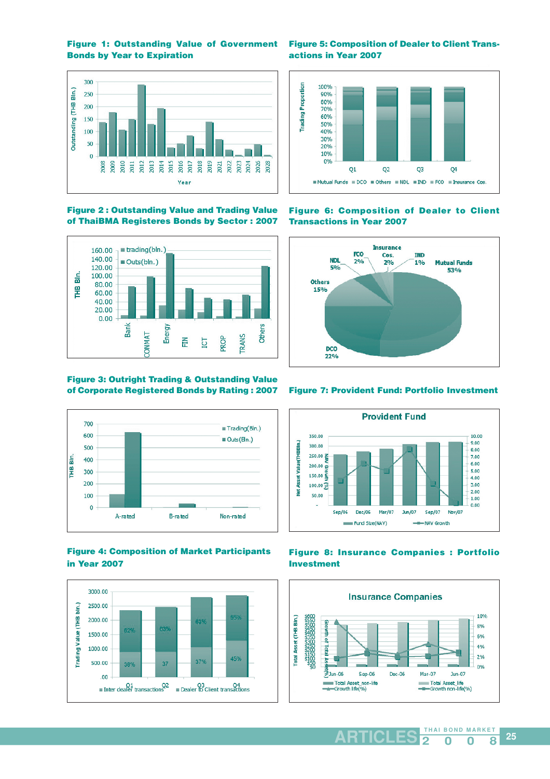**Figure 1: Outstanding Value of Government Bonds by Year to Expiration**



**Figure 5: Composition of Dealer to Client Transactions in Year 2007**



**Figure 2 : Outstanding Value and Trading Value of ThaiBMA Registeres Bonds by Sector : 2007**



### **Figure 3: Outright Trading & Outstanding Value of Corporate Registered Bonds by Rating : 2007**



### **Figure 4: Composition of Market Participants in Year 2007**



**Figure 6: Composition of Dealer to Client Transactions in Year 2007**



### **Figure 7: Provident Fund: Portfolio Investment**



### **Figure 8: Insurance Companies : Portfolio Investment**

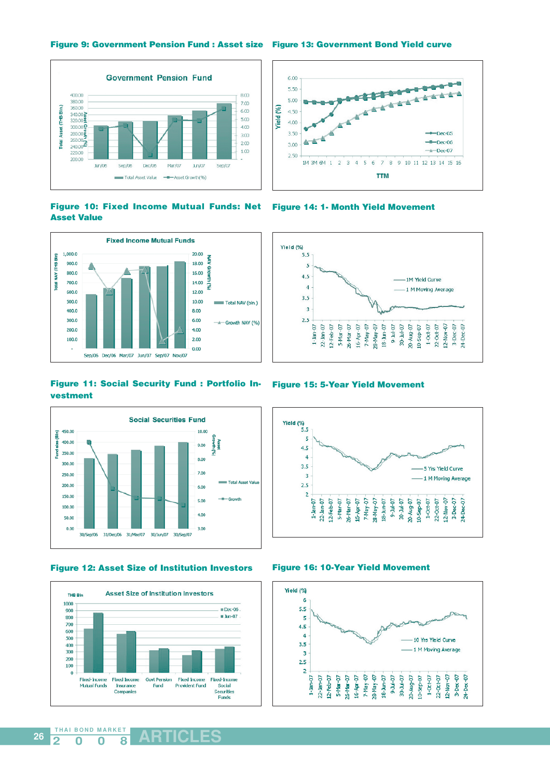**Figure 9: Government Pension Fund : Asset size Figure 13: Government Bond Yield curve**









**Figure 11: Social Security Fund : Portfolio Investment**



**Figure 12: Asset Size of Institution Investors**



**26**





**Figure 16: 10-Year Yield Movement**